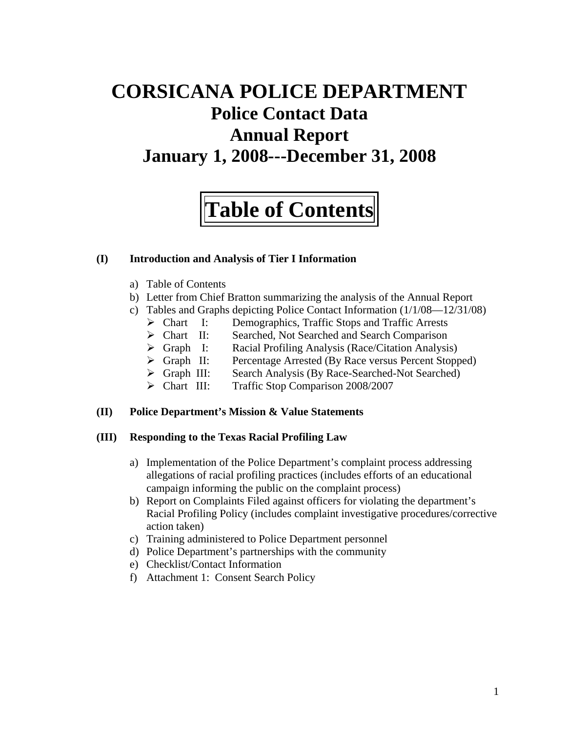# **CORSICANA POLICE DEPARTMENT Police Contact Data Annual Report January 1, 2008---December 31, 2008**

# **Table of Contents**

#### **(I) Introduction and Analysis of Tier I Information**

- a) Table of Contents
- b) Letter from Chief Bratton summarizing the analysis of the Annual Report
- c) Tables and Graphs depicting Police Contact Information (1/1/08—12/31/08)
	- ¾ Chart I: Demographics, Traffic Stops and Traffic Arrests
	- ¾ Chart II: Searched, Not Searched and Search Comparison
	- ¾ Graph I: Racial Profiling Analysis (Race/Citation Analysis)
	- ¾ Graph II: Percentage Arrested (By Race versus Percent Stopped)
	- ¾ Graph III: Search Analysis (By Race-Searched-Not Searched)
	- ¾ Chart III: Traffic Stop Comparison 2008/2007

#### **(II) Police Department's Mission & Value Statements**

#### **(III) Responding to the Texas Racial Profiling Law**

- a) Implementation of the Police Department's complaint process addressing allegations of racial profiling practices (includes efforts of an educational campaign informing the public on the complaint process)
- b) Report on Complaints Filed against officers for violating the department's Racial Profiling Policy (includes complaint investigative procedures/corrective action taken)
- c) Training administered to Police Department personnel
- d) Police Department's partnerships with the community
- e) Checklist/Contact Information
- f) Attachment 1: Consent Search Policy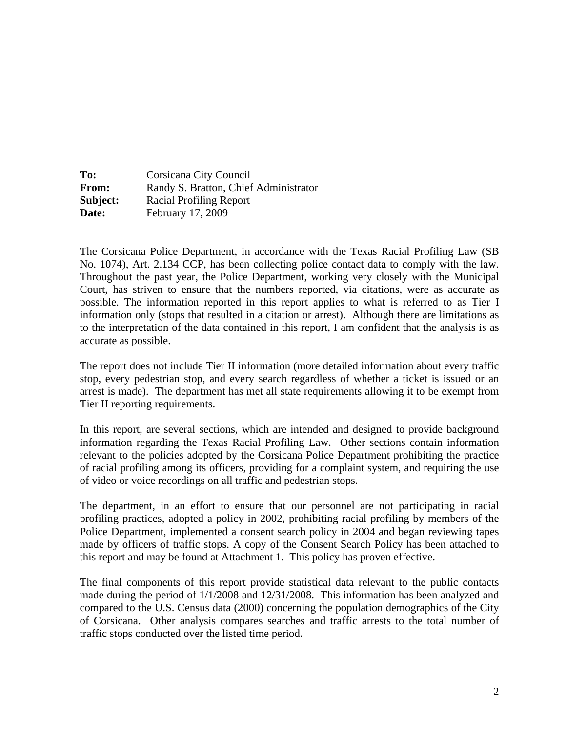| To:      | Corsicana City Council                |
|----------|---------------------------------------|
| From:    | Randy S. Bratton, Chief Administrator |
| Subject: | <b>Racial Profiling Report</b>        |
| Date:    | February 17, 2009                     |

The Corsicana Police Department, in accordance with the Texas Racial Profiling Law (SB No. 1074), Art. 2.134 CCP, has been collecting police contact data to comply with the law. Throughout the past year, the Police Department, working very closely with the Municipal Court, has striven to ensure that the numbers reported, via citations, were as accurate as possible. The information reported in this report applies to what is referred to as Tier I information only (stops that resulted in a citation or arrest). Although there are limitations as to the interpretation of the data contained in this report, I am confident that the analysis is as accurate as possible.

The report does not include Tier II information (more detailed information about every traffic stop, every pedestrian stop, and every search regardless of whether a ticket is issued or an arrest is made). The department has met all state requirements allowing it to be exempt from Tier II reporting requirements.

In this report, are several sections, which are intended and designed to provide background information regarding the Texas Racial Profiling Law. Other sections contain information relevant to the policies adopted by the Corsicana Police Department prohibiting the practice of racial profiling among its officers, providing for a complaint system, and requiring the use of video or voice recordings on all traffic and pedestrian stops.

The department, in an effort to ensure that our personnel are not participating in racial profiling practices, adopted a policy in 2002, prohibiting racial profiling by members of the Police Department, implemented a consent search policy in 2004 and began reviewing tapes made by officers of traffic stops. A copy of the Consent Search Policy has been attached to this report and may be found at Attachment 1. This policy has proven effective.

The final components of this report provide statistical data relevant to the public contacts made during the period of 1/1/2008 and 12/31/2008. This information has been analyzed and compared to the U.S. Census data (2000) concerning the population demographics of the City of Corsicana. Other analysis compares searches and traffic arrests to the total number of traffic stops conducted over the listed time period.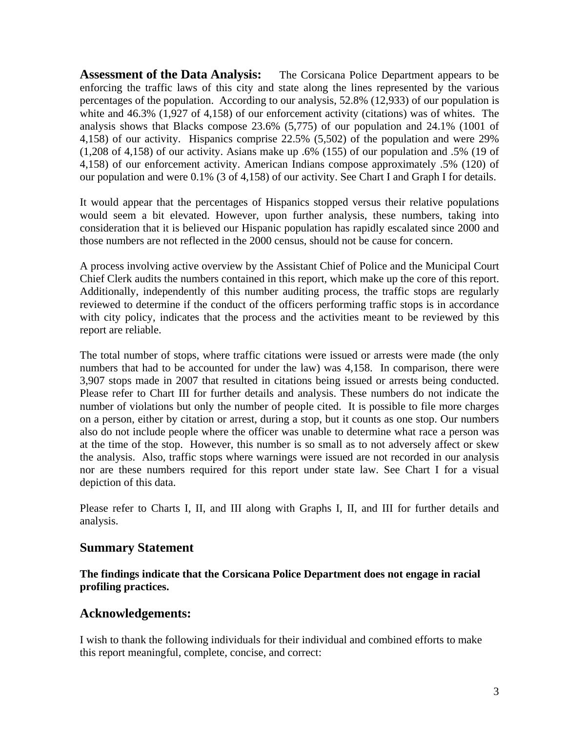**Assessment of the Data Analysis:** The Corsicana Police Department appears to be enforcing the traffic laws of this city and state along the lines represented by the various percentages of the population. According to our analysis, 52.8% (12,933) of our population is white and 46.3% (1,927 of 4,158) of our enforcement activity (citations) was of whites. The analysis shows that Blacks compose 23.6% (5,775) of our population and 24.1% (1001 of 4,158) of our activity. Hispanics comprise 22.5% (5,502) of the population and were 29% (1,208 of 4,158) of our activity. Asians make up .6% (155) of our population and .5% (19 of 4,158) of our enforcement activity. American Indians compose approximately .5% (120) of our population and were 0.1% (3 of 4,158) of our activity. See Chart I and Graph I for details.

It would appear that the percentages of Hispanics stopped versus their relative populations would seem a bit elevated. However, upon further analysis, these numbers, taking into consideration that it is believed our Hispanic population has rapidly escalated since 2000 and those numbers are not reflected in the 2000 census, should not be cause for concern.

A process involving active overview by the Assistant Chief of Police and the Municipal Court Chief Clerk audits the numbers contained in this report, which make up the core of this report. Additionally, independently of this number auditing process, the traffic stops are regularly reviewed to determine if the conduct of the officers performing traffic stops is in accordance with city policy, indicates that the process and the activities meant to be reviewed by this report are reliable.

The total number of stops, where traffic citations were issued or arrests were made (the only numbers that had to be accounted for under the law) was 4,158. In comparison, there were 3,907 stops made in 2007 that resulted in citations being issued or arrests being conducted. Please refer to Chart III for further details and analysis. These numbers do not indicate the number of violations but only the number of people cited. It is possible to file more charges on a person, either by citation or arrest, during a stop, but it counts as one stop. Our numbers also do not include people where the officer was unable to determine what race a person was at the time of the stop. However, this number is so small as to not adversely affect or skew the analysis. Also, traffic stops where warnings were issued are not recorded in our analysis nor are these numbers required for this report under state law. See Chart I for a visual depiction of this data.

Please refer to Charts I, II, and III along with Graphs I, II, and III for further details and analysis.

#### **Summary Statement**

**The findings indicate that the Corsicana Police Department does not engage in racial profiling practices.** 

#### **Acknowledgements:**

I wish to thank the following individuals for their individual and combined efforts to make this report meaningful, complete, concise, and correct: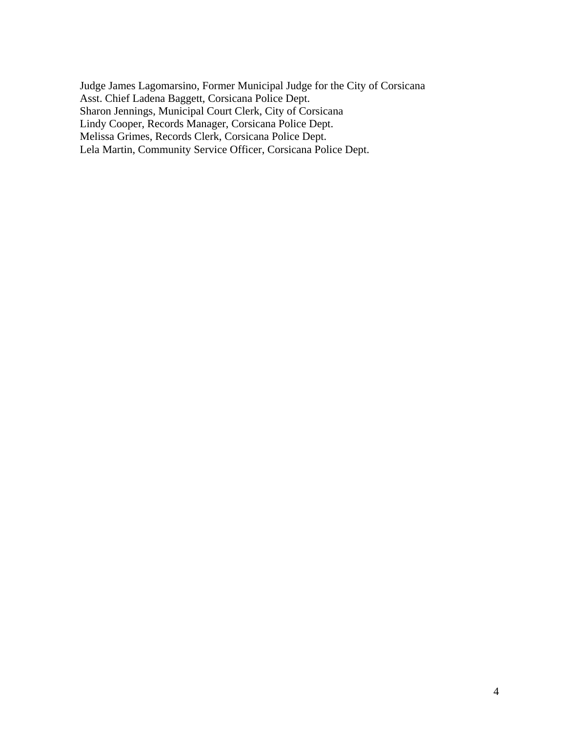Judge James Lagomarsino, Former Municipal Judge for the City of Corsicana Asst. Chief Ladena Baggett, Corsicana Police Dept. Sharon Jennings, Municipal Court Clerk, City of Corsicana Lindy Cooper, Records Manager, Corsicana Police Dept. Melissa Grimes, Records Clerk, Corsicana Police Dept. Lela Martin, Community Service Officer, Corsicana Police Dept.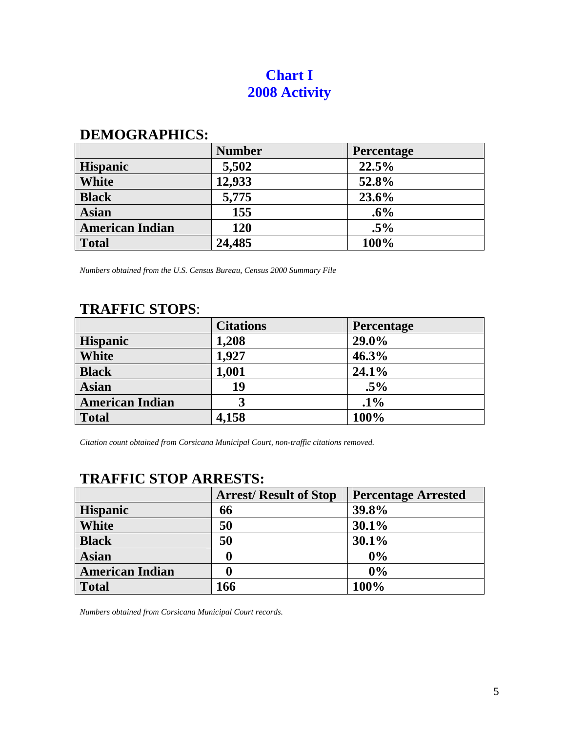# **Chart I 2008 Activity**

# **DEMOGRAPHICS:**

|                        | <b>Number</b> | <b>Percentage</b> |
|------------------------|---------------|-------------------|
| <b>Hispanic</b>        | 5,502         | 22.5%             |
| <b>White</b>           | 12,933        | 52.8%             |
| <b>Black</b>           | 5,775         | 23.6%             |
| <b>Asian</b>           | 155           | .6%               |
| <b>American Indian</b> | 120           | $.5\%$            |
| <b>Total</b>           | 24,485        | 100%              |

*Numbers obtained from the U.S. Census Bureau, Census 2000 Summary File* 

# **TRAFFIC STOPS**:

|                        | <b>Citations</b> | <b>Percentage</b> |
|------------------------|------------------|-------------------|
| <b>Hispanic</b>        | 1,208            | 29.0%             |
| <b>White</b>           | 1,927            | 46.3%             |
| <b>Black</b>           | 1,001            | 24.1%             |
| <b>Asian</b>           | 19               | $.5\%$            |
| <b>American Indian</b> | 3                | $.1\%$            |
| <b>Total</b>           | 4,158            | 100%              |

*Citation count obtained from Corsicana Municipal Court, non-traffic citations removed.* 

# **TRAFFIC STOP ARRESTS:**

|                        | <b>Arrest/Result of Stop</b> | <b>Percentage Arrested</b> |
|------------------------|------------------------------|----------------------------|
| <b>Hispanic</b>        | 66                           | 39.8%                      |
| White                  | 50                           | 30.1%                      |
| <b>Black</b>           | 50                           | 30.1%                      |
| <b>Asian</b>           | 0                            | 0%                         |
| <b>American Indian</b> |                              | 0%                         |
| <b>Total</b>           | 166                          | 100%                       |

*Numbers obtained from Corsicana Municipal Court records.*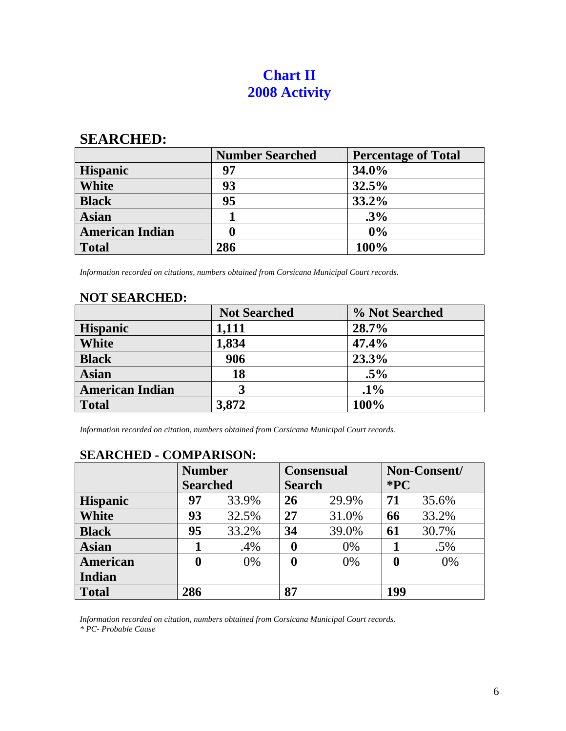# **Chart II 2008 Activity**

### **SEARCHED:**

|                        | <b>Number Searched</b> | <b>Percentage of Total</b> |
|------------------------|------------------------|----------------------------|
| <b>Hispanic</b>        | 97                     | 34.0%                      |
| <b>White</b>           | 93                     | 32.5%                      |
| <b>Black</b>           | 95                     | 33.2%                      |
| <b>Asian</b>           |                        | .3%                        |
| <b>American Indian</b> | 0                      | 0%                         |
| <b>Total</b>           | 286                    | 100%                       |

*Information recorded on citations, numbers obtained from Corsicana Municipal Court records.* 

# **NOT SEARCHED:**

|                        | <b>Not Searched</b> | % Not Searched |
|------------------------|---------------------|----------------|
| <b>Hispanic</b>        | 1,111               | 28.7%          |
| White                  | 1,834               | 47.4%          |
| <b>Black</b>           | 906                 | 23.3%          |
| <b>Asian</b>           | 18                  | $.5\%$         |
| <b>American Indian</b> | 3                   | $.1\%$         |
| <b>Total</b>           | 3,872               | 100%           |

*Information recorded on citation, numbers obtained from Corsicana Municipal Court records.* 

|                 | <b>Number</b>    |       | <b>Consensual</b> |               |                  | Non-Consent/ |  |
|-----------------|------------------|-------|-------------------|---------------|------------------|--------------|--|
|                 | <b>Searched</b>  |       |                   | <b>Search</b> |                  | $*PC$        |  |
| <b>Hispanic</b> | 97               | 33.9% | 26                | 29.9%         | 71               | 35.6%        |  |
| <b>White</b>    | 93               | 32.5% | 27                | 31.0%         | 66               | 33.2%        |  |
| <b>Black</b>    | 95               | 33.2% | 34                | 39.0%         | 61               | 30.7%        |  |
| <b>Asian</b>    |                  | .4%   | 0                 | 0%            |                  | .5%          |  |
| American        | $\boldsymbol{0}$ | 0%    | 0                 | 0%            | $\boldsymbol{0}$ | $0\%$        |  |
| Indian          |                  |       |                   |               |                  |              |  |
| <b>Total</b>    | 286              |       | 87                |               | 199              |              |  |

### **SEARCHED - COMPARISON:**

*Information recorded on citation, numbers obtained from Corsicana Municipal Court records. \* PC- Probable Cause*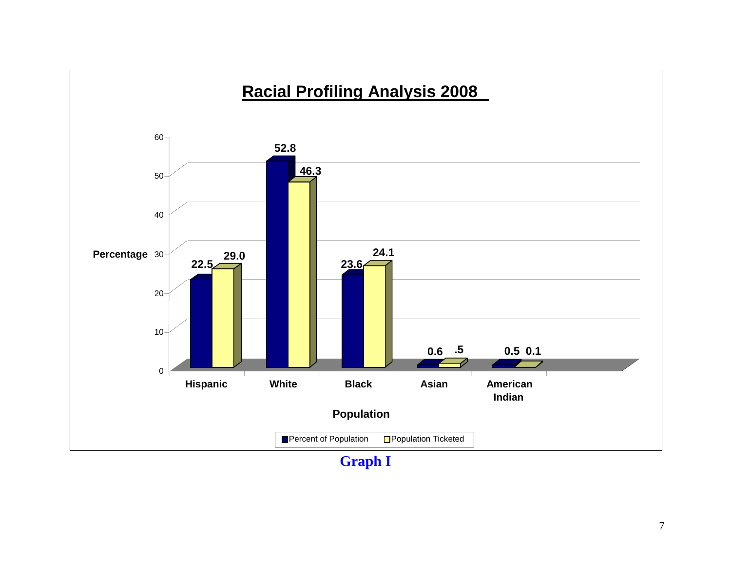

**Graph I**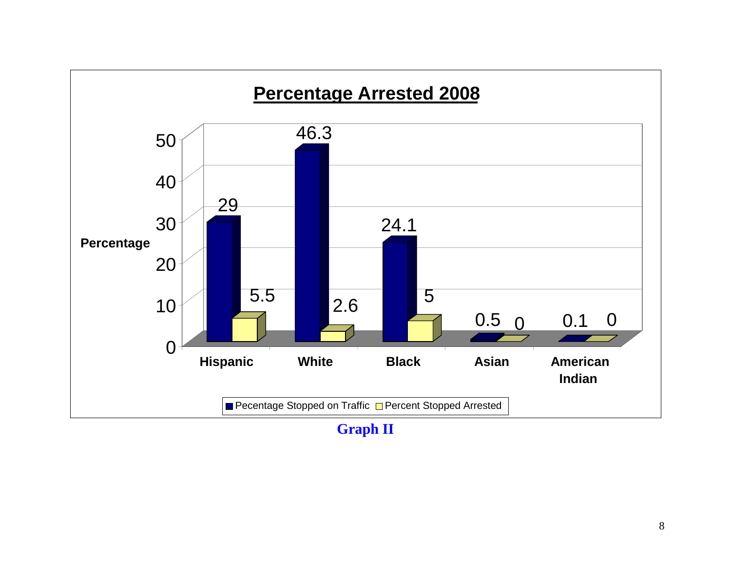

**Graph II**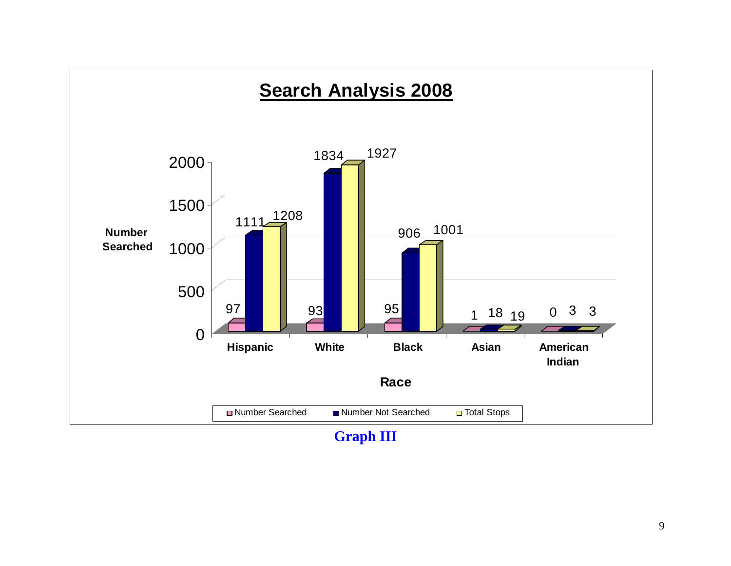

**Graph III**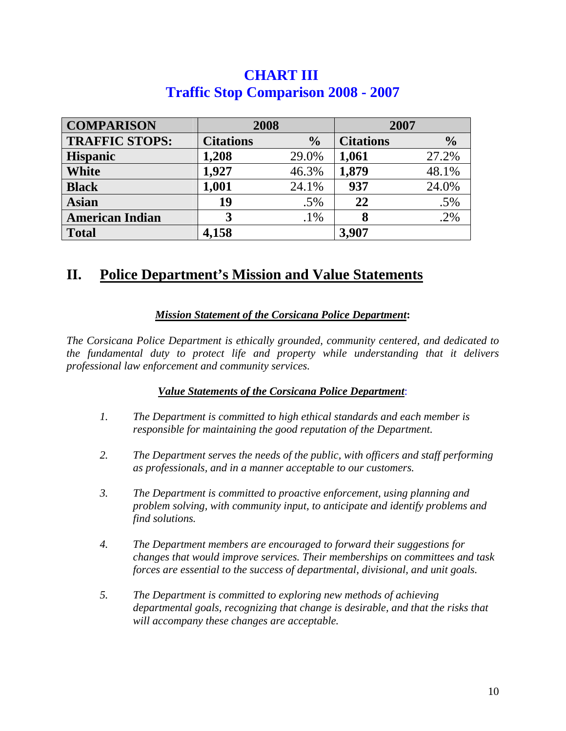| <b>CHART III</b>                           |  |
|--------------------------------------------|--|
| <b>Traffic Stop Comparison 2008 - 2007</b> |  |

| <b>COMPARISON</b>      | 2008             |               | 2007             |               |
|------------------------|------------------|---------------|------------------|---------------|
| <b>TRAFFIC STOPS:</b>  | <b>Citations</b> | $\frac{0}{0}$ | <b>Citations</b> | $\frac{0}{0}$ |
| <b>Hispanic</b>        | 1,208            | 29.0%         | 1,061            | 27.2%         |
| <b>White</b>           | 1,927            | 46.3%         | 1,879            | 48.1%         |
| <b>Black</b>           | 1,001            | 24.1%         | 937              | 24.0%         |
| <b>Asian</b>           | 19               | .5%           | 22               | $.5\%$        |
| <b>American Indian</b> | 3                | $.1\%$        |                  | .2%           |
| <b>Total</b>           | 4,158            |               | 3,907            |               |

# **II. Police Department's Mission and Value Statements**

#### *Mission Statement of the Corsicana Police Department***:**

*The Corsicana Police Department is ethically grounded, community centered, and dedicated to the fundamental duty to protect life and property while understanding that it delivers professional law enforcement and community services.* 

#### *Value Statements of the Corsicana Police Department*:

- *1. The Department is committed to high ethical standards and each member is responsible for maintaining the good reputation of the Department.*
- *2. The Department serves the needs of the public, with officers and staff performing as professionals, and in a manner acceptable to our customers.*
- *3. The Department is committed to proactive enforcement, using planning and problem solving, with community input, to anticipate and identify problems and find solutions.*
- *4. The Department members are encouraged to forward their suggestions for changes that would improve services. Their memberships on committees and task forces are essential to the success of departmental, divisional, and unit goals.*
- *5. The Department is committed to exploring new methods of achieving departmental goals, recognizing that change is desirable, and that the risks that will accompany these changes are acceptable.*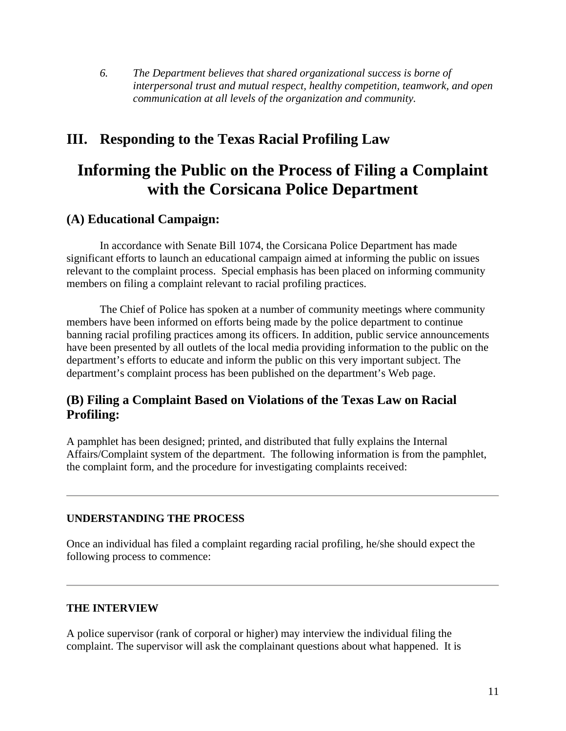*6. The Department believes that shared organizational success is borne of interpersonal trust and mutual respect, healthy competition, teamwork, and open communication at all levels of the organization and community.* 

# **III. Responding to the Texas Racial Profiling Law**

# **Informing the Public on the Process of Filing a Complaint with the Corsicana Police Department**

## **(A) Educational Campaign:**

In accordance with Senate Bill 1074, the Corsicana Police Department has made significant efforts to launch an educational campaign aimed at informing the public on issues relevant to the complaint process. Special emphasis has been placed on informing community members on filing a complaint relevant to racial profiling practices.

 The Chief of Police has spoken at a number of community meetings where community members have been informed on efforts being made by the police department to continue banning racial profiling practices among its officers. In addition, public service announcements have been presented by all outlets of the local media providing information to the public on the department's efforts to educate and inform the public on this very important subject. The department's complaint process has been published on the department's Web page.

## **(B) Filing a Complaint Based on Violations of the Texas Law on Racial Profiling:**

A pamphlet has been designed; printed, and distributed that fully explains the Internal Affairs/Complaint system of the department. The following information is from the pamphlet, the complaint form, and the procedure for investigating complaints received:

#### **UNDERSTANDING THE PROCESS**

Once an individual has filed a complaint regarding racial profiling, he/she should expect the following process to commence:

#### **THE INTERVIEW**

A police supervisor (rank of corporal or higher) may interview the individual filing the complaint. The supervisor will ask the complainant questions about what happened. It is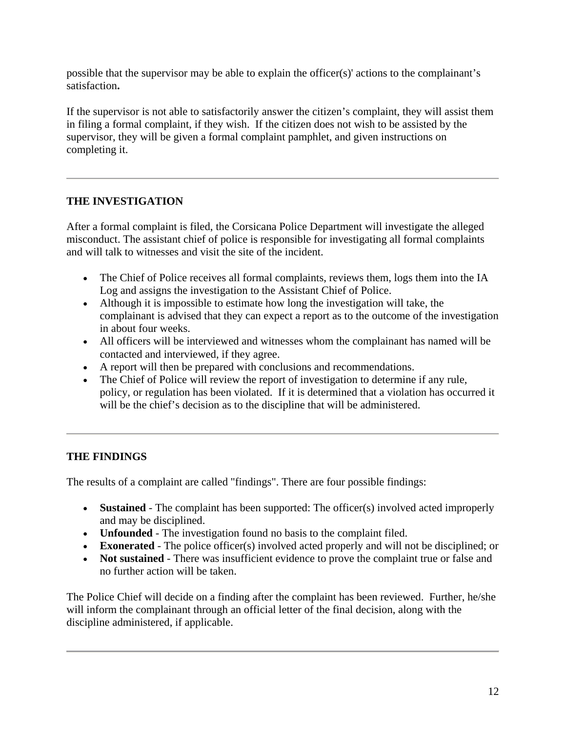possible that the supervisor may be able to explain the officer(s)' actions to the complainant's satisfaction**.** 

If the supervisor is not able to satisfactorily answer the citizen's complaint, they will assist them in filing a formal complaint, if they wish. If the citizen does not wish to be assisted by the supervisor, they will be given a formal complaint pamphlet, and given instructions on completing it.

#### **THE INVESTIGATION**

After a formal complaint is filed, the Corsicana Police Department will investigate the alleged misconduct. The assistant chief of police is responsible for investigating all formal complaints and will talk to witnesses and visit the site of the incident.

- The Chief of Police receives all formal complaints, reviews them, logs them into the IA Log and assigns the investigation to the Assistant Chief of Police.
- Although it is impossible to estimate how long the investigation will take, the complainant is advised that they can expect a report as to the outcome of the investigation in about four weeks.
- All officers will be interviewed and witnesses whom the complainant has named will be contacted and interviewed, if they agree.
- A report will then be prepared with conclusions and recommendations.
- The Chief of Police will review the report of investigation to determine if any rule, policy, or regulation has been violated. If it is determined that a violation has occurred it will be the chief's decision as to the discipline that will be administered.

#### **THE FINDINGS**

The results of a complaint are called "findings". There are four possible findings:

- **Sustained** The complaint has been supported: The officer(s) involved acted improperly and may be disciplined.
- **Unfounded** The investigation found no basis to the complaint filed.
- **Exonerated** The police officer(s) involved acted properly and will not be disciplined; or
- **Not sustained** There was insufficient evidence to prove the complaint true or false and no further action will be taken.

The Police Chief will decide on a finding after the complaint has been reviewed. Further, he/she will inform the complainant through an official letter of the final decision, along with the discipline administered, if applicable.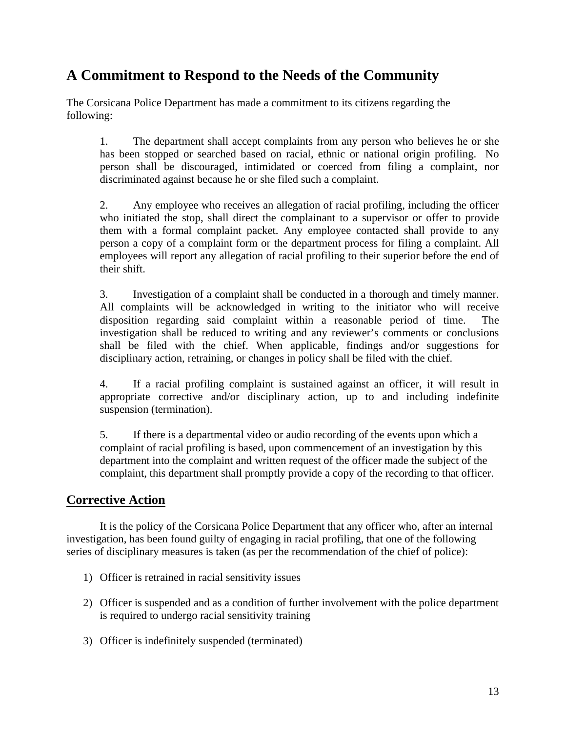# **A Commitment to Respond to the Needs of the Community**

The Corsicana Police Department has made a commitment to its citizens regarding the following:

 1. The department shall accept complaints from any person who believes he or she has been stopped or searched based on racial, ethnic or national origin profiling. No person shall be discouraged, intimidated or coerced from filing a complaint, nor discriminated against because he or she filed such a complaint.

 2. Any employee who receives an allegation of racial profiling, including the officer who initiated the stop, shall direct the complainant to a supervisor or offer to provide them with a formal complaint packet. Any employee contacted shall provide to any person a copy of a complaint form or the department process for filing a complaint. All employees will report any allegation of racial profiling to their superior before the end of their shift.

 3. Investigation of a complaint shall be conducted in a thorough and timely manner. All complaints will be acknowledged in writing to the initiator who will receive disposition regarding said complaint within a reasonable period of time. The investigation shall be reduced to writing and any reviewer's comments or conclusions shall be filed with the chief. When applicable, findings and/or suggestions for disciplinary action, retraining, or changes in policy shall be filed with the chief.

 4. If a racial profiling complaint is sustained against an officer, it will result in appropriate corrective and/or disciplinary action, up to and including indefinite suspension (termination).

5. If there is a departmental video or audio recording of the events upon which a complaint of racial profiling is based, upon commencement of an investigation by this department into the complaint and written request of the officer made the subject of the complaint, this department shall promptly provide a copy of the recording to that officer.

### **Corrective Action**

 It is the policy of the Corsicana Police Department that any officer who, after an internal investigation, has been found guilty of engaging in racial profiling, that one of the following series of disciplinary measures is taken (as per the recommendation of the chief of police):

- 1) Officer is retrained in racial sensitivity issues
- 2) Officer is suspended and as a condition of further involvement with the police department is required to undergo racial sensitivity training
- 3) Officer is indefinitely suspended (terminated)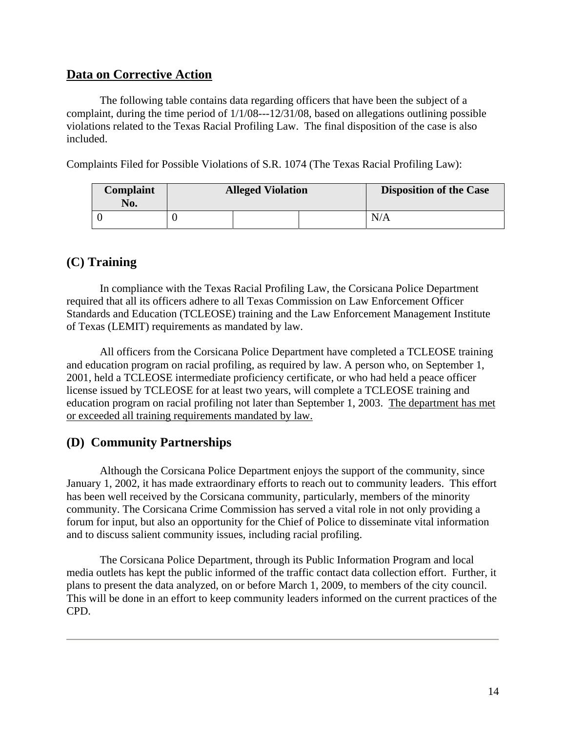### **Data on Corrective Action**

The following table contains data regarding officers that have been the subject of a complaint, during the time period of 1/1/08---12/31/08, based on allegations outlining possible violations related to the Texas Racial Profiling Law. The final disposition of the case is also included.

Complaints Filed for Possible Violations of S.R. 1074 (The Texas Racial Profiling Law):

| Complaint<br>No. | <b>Alleged Violation</b> | <b>Disposition of the Case</b> |
|------------------|--------------------------|--------------------------------|
|                  |                          | N/A                            |

### **(C) Training**

In compliance with the Texas Racial Profiling Law, the Corsicana Police Department required that all its officers adhere to all Texas Commission on Law Enforcement Officer Standards and Education (TCLEOSE) training and the Law Enforcement Management Institute of Texas (LEMIT) requirements as mandated by law.

All officers from the Corsicana Police Department have completed a TCLEOSE training and education program on racial profiling, as required by law. A person who, on September 1, 2001, held a TCLEOSE intermediate proficiency certificate, or who had held a peace officer license issued by TCLEOSE for at least two years, will complete a TCLEOSE training and education program on racial profiling not later than September 1, 2003. The department has met or exceeded all training requirements mandated by law.

### **(D) Community Partnerships**

 Although the Corsicana Police Department enjoys the support of the community, since January 1, 2002, it has made extraordinary efforts to reach out to community leaders. This effort has been well received by the Corsicana community, particularly, members of the minority community. The Corsicana Crime Commission has served a vital role in not only providing a forum for input, but also an opportunity for the Chief of Police to disseminate vital information and to discuss salient community issues, including racial profiling.

 The Corsicana Police Department, through its Public Information Program and local media outlets has kept the public informed of the traffic contact data collection effort. Further, it plans to present the data analyzed, on or before March 1, 2009, to members of the city council. This will be done in an effort to keep community leaders informed on the current practices of the CPD.